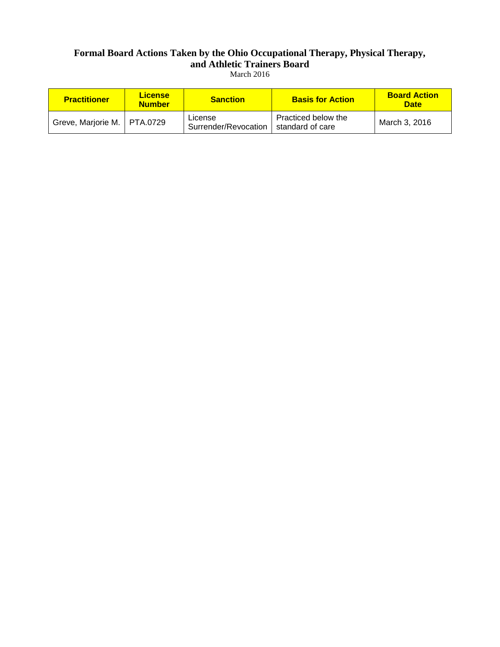### **Formal Board Actions Taken by the Ohio Occupational Therapy, Physical Therapy, and Athletic Trainers Board** March 2016

| <b>Practitioner</b>           | <b>License</b><br><b>Number</b> | <b>Sanction</b>                 | <b>Basis for Action</b>                 | <b>Board Action</b><br><b>Date</b> |
|-------------------------------|---------------------------------|---------------------------------|-----------------------------------------|------------------------------------|
| Greve, Marjorie M.   PTA.0729 |                                 | License<br>Surrender/Revocation | Practiced below the<br>standard of care | March 3, 2016                      |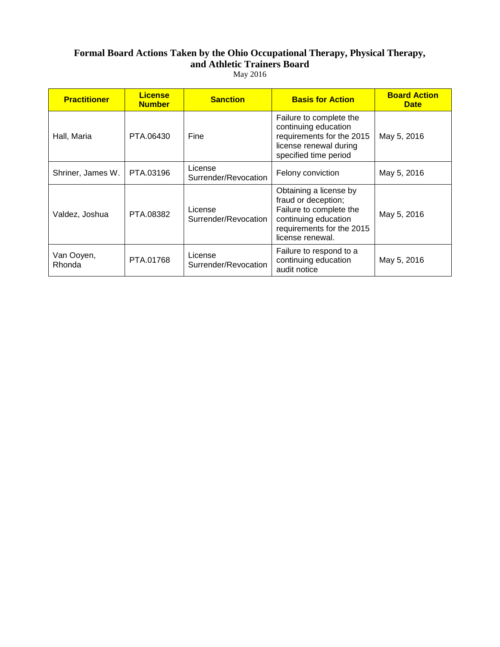### **Formal Board Actions Taken by the Ohio Occupational Therapy, Physical Therapy, and Athletic Trainers Board** May 2016

| <b>Practitioner</b>  | <b>License</b><br><b>Number</b> | <b>Sanction</b>                 | <b>Basis for Action</b>                                                                                                                           | <b>Board Action</b><br><b>Date</b> |
|----------------------|---------------------------------|---------------------------------|---------------------------------------------------------------------------------------------------------------------------------------------------|------------------------------------|
| Hall, Maria          | PTA.06430                       | Fine                            | Failure to complete the<br>continuing education<br>requirements for the 2015<br>license renewal during<br>specified time period                   | May 5, 2016                        |
| Shriner, James W.    | PTA.03196                       | License<br>Surrender/Revocation | Felony conviction                                                                                                                                 | May 5, 2016                        |
| Valdez, Joshua       | PTA.08382                       | License<br>Surrender/Revocation | Obtaining a license by<br>fraud or deception;<br>Failure to complete the<br>continuing education<br>requirements for the 2015<br>license renewal. | May 5, 2016                        |
| Van Ooyen,<br>Rhonda | PTA.01768                       | License<br>Surrender/Revocation | Failure to respond to a<br>continuing education<br>audit notice                                                                                   | May 5, 2016                        |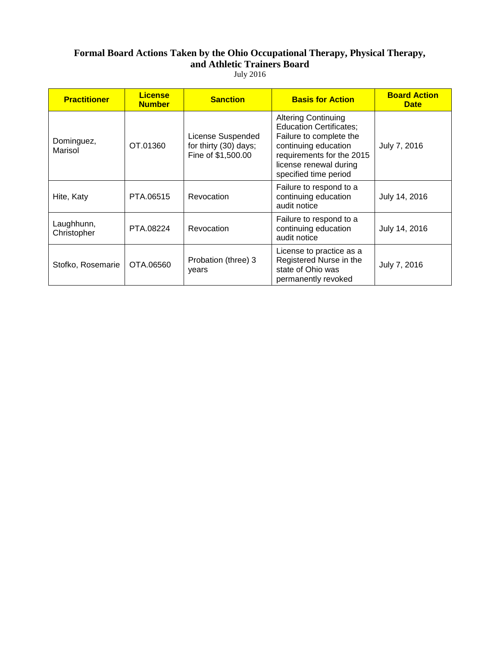# **Formal Board Actions Taken by the Ohio Occupational Therapy, Physical Therapy, and Athletic Trainers Board**

| <b>July 2016</b> |  |
|------------------|--|
|------------------|--|

| <b>Practitioner</b>       | <b>License</b><br><b>Number</b> | <b>Sanction</b>                                                  | <b>Basis for Action</b>                                                                                                                                                                         | <b>Board Action</b><br><b>Date</b> |
|---------------------------|---------------------------------|------------------------------------------------------------------|-------------------------------------------------------------------------------------------------------------------------------------------------------------------------------------------------|------------------------------------|
| Dominguez,<br>Marisol     | OT.01360                        | License Suspended<br>for thirty (30) days;<br>Fine of \$1,500.00 | <b>Altering Continuing</b><br><b>Education Certificates;</b><br>Failure to complete the<br>continuing education<br>requirements for the 2015<br>license renewal during<br>specified time period | July 7, 2016                       |
| Hite, Katy                | PTA.06515                       | Revocation                                                       | Failure to respond to a<br>continuing education<br>audit notice                                                                                                                                 | July 14, 2016                      |
| Laughhunn,<br>Christopher | PTA.08224                       | Revocation                                                       | Failure to respond to a<br>continuing education<br>audit notice                                                                                                                                 | July 14, 2016                      |
| Stofko, Rosemarie         | OTA.06560                       | Probation (three) 3<br>years                                     | License to practice as a<br>Registered Nurse in the<br>state of Ohio was<br>permanently revoked                                                                                                 | July 7, 2016                       |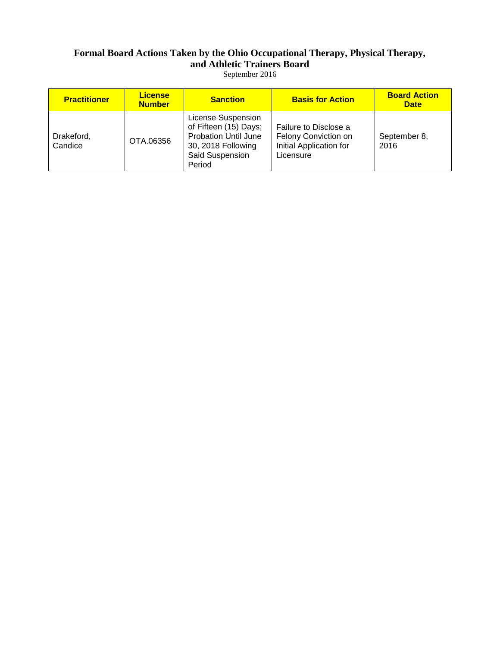### **Formal Board Actions Taken by the Ohio Occupational Therapy, Physical Therapy, and Athletic Trainers Board** September 2016

| <b>Practitioner</b>   | <b>License</b><br><b>Number</b> | <b>Sanction</b>                                                                                                               | <b>Basis for Action</b>                                                               | <b>Board Action</b><br><b>Date</b> |
|-----------------------|---------------------------------|-------------------------------------------------------------------------------------------------------------------------------|---------------------------------------------------------------------------------------|------------------------------------|
| Drakeford,<br>Candice | OTA.06356                       | License Suspension<br>of Fifteen (15) Days;<br><b>Probation Until June</b><br>30, 2018 Following<br>Said Suspension<br>Period | Failure to Disclose a<br>Felony Conviction on<br>Initial Application for<br>Licensure | September 8,<br>2016               |